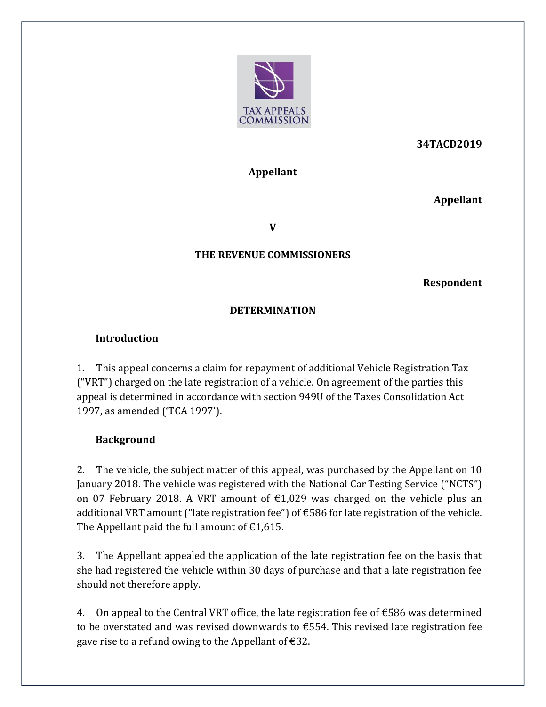

## **34TACD2019**

## **Appellant**

**Appellant** 

**V** 

## **THE REVENUE COMMISSIONERS**

#### **Respondent**

#### **DETERMINATION**

#### **Introduction**

1. This appeal concerns a claim for repayment of additional Vehicle Registration Tax ("VRT") charged on the late registration of a vehicle. On agreement of the parties this appeal is determined in accordance with section 949U of the Taxes Consolidation Act 1997, as amended ('TCA 1997').

#### **Background**

2. The vehicle, the subject matter of this appeal, was purchased by the Appellant on 10 January 2018. The vehicle was registered with the National Car Testing Service ("NCTS") on 07 February 2018. A VRT amount of  $\epsilon$ 1,029 was charged on the vehicle plus an additional VRT amount ("late registration fee") of €586 for late registration of the vehicle. The Appellant paid the full amount of  $\epsilon$ 1,615.

3. The Appellant appealed the application of the late registration fee on the basis that she had registered the vehicle within 30 days of purchase and that a late registration fee should not therefore apply.

4. On appeal to the Central VRT office, the late registration fee of  $\epsilon$ 586 was determined to be overstated and was revised downwards to  $\epsilon$ 554. This revised late registration fee gave rise to a refund owing to the Appellant of  $\epsilon$ 32.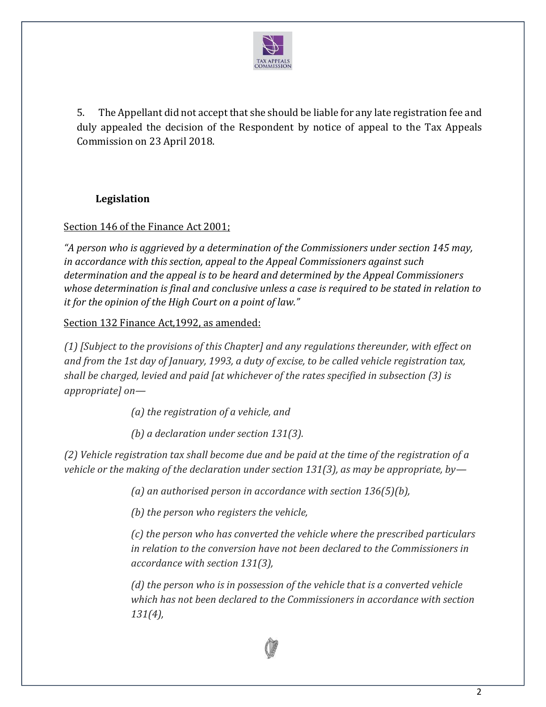

5. The Appellant did not accept that she should be liable for any late registration fee and duly appealed the decision of the Respondent by notice of appeal to the Tax Appeals Commission on 23 April 2018.

# **Legislation**

## Section 146 of the Finance Act 2001;

*"A person who is aggrieved by a determination of the Commissioners under section 145 may, in accordance with this section, appeal to the Appeal Commissioners against such determination and the appeal is to be heard and determined by the Appeal Commissioners whose determination is final and conclusive unless a case is required to be stated in relation to it for the opinion of the High Court on a point of law."* 

## Section 132 Finance Act,1992, as amended:

*(1) [Subject to the provisions of this Chapter] and any regulations thereunder, with effect on and from the 1st day of January, 1993, a duty of excise, to be called vehicle registration tax, shall be charged, levied and paid [at whichever of the rates specified in subsection (3) is appropriate] on—*

*(a) the registration of a vehicle, and*

*(b) a declaration under section 131(3).*

*(2) Vehicle registration tax shall become due and be paid at the time of the registration of a vehicle or the making of the declaration under section 131(3), as may be appropriate, by—*

*(a) an authorised person in accordance with section 136(5)(b),*

*(b) the person who registers the vehicle,*

*(c) the person who has converted the vehicle where the prescribed particulars in relation to the conversion have not been declared to the Commissioners in accordance with section 131(3),*

*(d) the person who is in possession of the vehicle that is a converted vehicle which has not been declared to the Commissioners in accordance with section 131(4),*

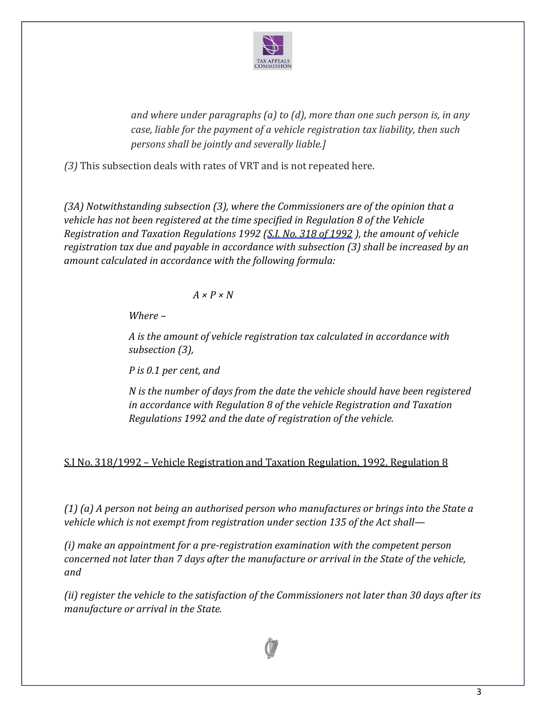

*and where under paragraphs (a) to (d), more than one such person is, in any case, liable for the payment of a vehicle registration tax liability, then such persons shall be jointly and severally liable.]*

*(3)* This subsection deals with rates of VRT and is not repeated here.

*(3A) Notwithstanding subsection (3), where the Commissioners are of the opinion that a vehicle has not been registered at the time specified in Regulation 8 of the Vehicle Registration and Taxation Regulations 1992 [\(S.I. No. 318 of 1992](http://www.irishstatutebook.ie/1992/en/si/0318.html) ), the amount of vehicle registration tax due and payable in accordance with subsection (3) shall be increased by an amount calculated in accordance with the following formula:* 

## *A × P × N*

*Where –* 

*A is the amount of vehicle registration tax calculated in accordance with subsection (3),* 

*P is 0.1 per cent, and* 

*N is the number of days from the date the vehicle should have been registered in accordance with Regulation 8 of the vehicle Registration and Taxation Regulations 1992 and the date of registration of the vehicle.* 

## S.I No. 318/1992 – Vehicle Registration and Taxation Regulation, 1992, Regulation 8

*(1) (a) A person not being an authorised person who manufactures or brings into the State a vehicle which is not exempt from registration under section 135 of the Act shall—*

*(i) make an appointment for a pre-registration examination with the competent person concerned not later than 7 days after the manufacture or arrival in the State of the vehicle, and*

*(ii) register the vehicle to the satisfaction of the Commissioners not later than 30 days after its manufacture or arrival in the State.*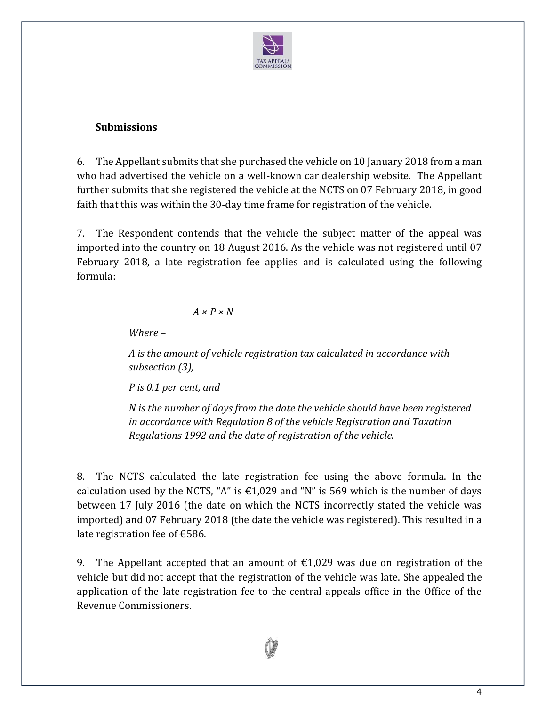

#### **Submissions**

6. The Appellant submits that she purchased the vehicle on 10 January 2018 from a man who had advertised the vehicle on a well-known car dealership website. The Appellant further submits that she registered the vehicle at the NCTS on 07 February 2018, in good faith that this was within the 30-day time frame for registration of the vehicle.

7. The Respondent contends that the vehicle the subject matter of the appeal was imported into the country on 18 August 2016. As the vehicle was not registered until 07 February 2018, a late registration fee applies and is calculated using the following formula:

## *A × P × N*

*Where –* 

*A is the amount of vehicle registration tax calculated in accordance with subsection (3),* 

*P is 0.1 per cent, and* 

*N is the number of days from the date the vehicle should have been registered in accordance with Regulation 8 of the vehicle Registration and Taxation Regulations 1992 and the date of registration of the vehicle.* 

8. The NCTS calculated the late registration fee using the above formula. In the calculation used by the NCTS, "A" is  $\epsilon$ 1,029 and "N" is 569 which is the number of days between 17 July 2016 (the date on which the NCTS incorrectly stated the vehicle was imported) and 07 February 2018 (the date the vehicle was registered). This resulted in a late registration fee of  $€586$ .

9. The Appellant accepted that an amount of  $\epsilon$ 1,029 was due on registration of the vehicle but did not accept that the registration of the vehicle was late. She appealed the application of the late registration fee to the central appeals office in the Office of the Revenue Commissioners.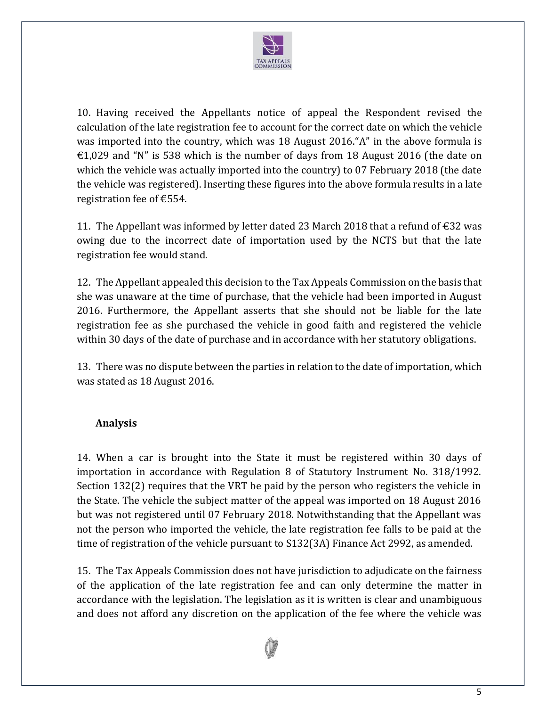

10. Having received the Appellants notice of appeal the Respondent revised the calculation of the late registration fee to account for the correct date on which the vehicle was imported into the country, which was 18 August 2016."A" in the above formula is €1,029 and "N" is 538 which is the number of days from 18 August 2016 (the date on which the vehicle was actually imported into the country) to 07 February 2018 (the date the vehicle was registered). Inserting these figures into the above formula results in a late registration fee of €554.

11. The Appellant was informed by letter dated 23 March 2018 that a refund of €32 was owing due to the incorrect date of importation used by the NCTS but that the late registration fee would stand.

12. The Appellant appealed this decision to the Tax Appeals Commission on the basis that she was unaware at the time of purchase, that the vehicle had been imported in August 2016. Furthermore, the Appellant asserts that she should not be liable for the late registration fee as she purchased the vehicle in good faith and registered the vehicle within 30 days of the date of purchase and in accordance with her statutory obligations.

13. There was no dispute between the parties in relation to the date of importation, which was stated as 18 August 2016.

## **Analysis**

14. When a car is brought into the State it must be registered within 30 days of importation in accordance with Regulation 8 of Statutory Instrument No. 318/1992. Section 132(2) requires that the VRT be paid by the person who registers the vehicle in the State. The vehicle the subject matter of the appeal was imported on 18 August 2016 but was not registered until 07 February 2018. Notwithstanding that the Appellant was not the person who imported the vehicle, the late registration fee falls to be paid at the time of registration of the vehicle pursuant to S132(3A) Finance Act 2992, as amended.

15. The Tax Appeals Commission does not have jurisdiction to adjudicate on the fairness of the application of the late registration fee and can only determine the matter in accordance with the legislation. The legislation as it is written is clear and unambiguous and does not afford any discretion on the application of the fee where the vehicle was